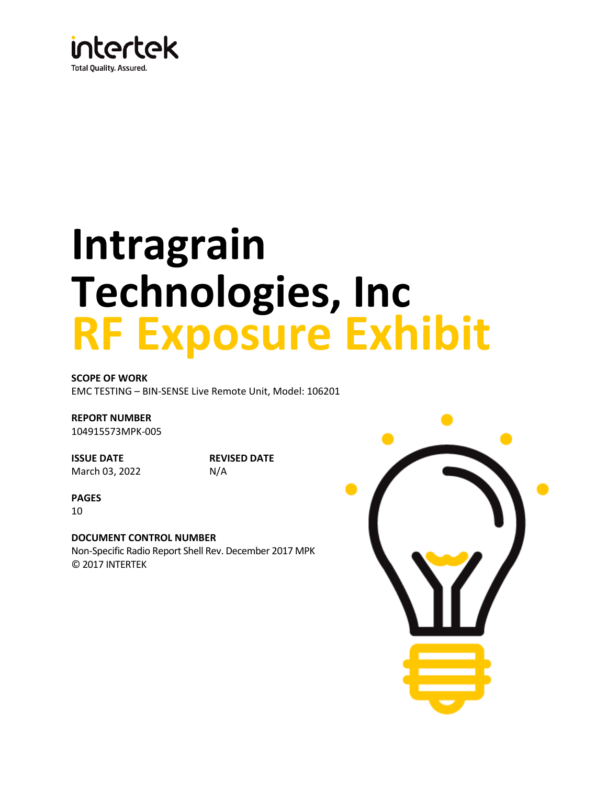

# **Intragrain Technologies, Inc RF Exposure Exhibit**

**SCOPE OF WORK** EMC TESTING – BIN-SENSE Live Remote Unit, Model: 106201

**REPORT NUMBER** 104915573MPK-005

**ISSUE DATE** March 03, 2022 **REVISED DATE** N/A

**PAGES**

10

**DOCUMENT CONTROL NUMBER** Non-Specific Radio Report Shell Rev. December 2017 MPK © 2017 INTERTEK

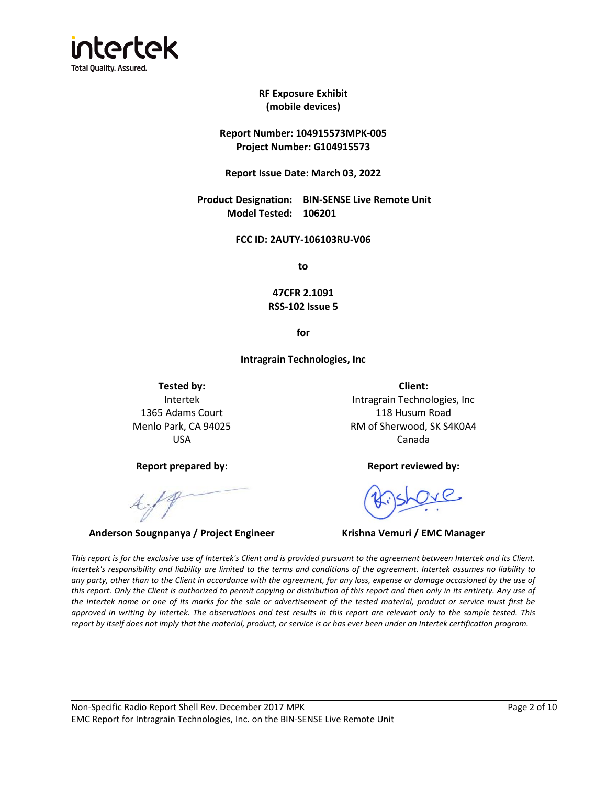

**RF Exposure Exhibit (mobile devices)**

**Report Number: 104915573MPK-005 Project Number: G104915573**

**Report Issue Date: March 03, 2022**

**Product Designation: BIN-SENSE Live Remote Unit Model Tested: 106201**

**FCC ID: 2AUTY-106103RU-V06**

**to**

**47CFR 2.1091 RSS-102 Issue 5**

**for**

**Intragrain Technologies, Inc**

**Tested by: Client:** Intertek 1365 Adams Court Menlo Park, CA 94025 USA

**Report prepared by: Report reviewed by:**

**Anderson Sougnpanya / Project Engineer Krishna Vemuri / EMC Manager**

Intragrain Technologies, Inc 118 Husum Road RM of Sherwood, SK S4K0A4 Canada

*This report is for the exclusive use of Intertek's Client and is provided pursuant to the agreement between Intertek and its Client. Intertek's responsibility and liability are limited to the terms and conditions of the agreement. Intertek assumes no liability to any party, other than to the Client in accordance with the agreement, for any loss, expense or damage occasioned by the use of* this report. Only the Client is authorized to permit copying or distribution of this report and then only in its entirety. Any use of *the Intertek name or one of its marks for the sale or advertisement of the tested material, product or service must first be approved in writing by Intertek. The observations and test results in this report are relevant only to the sample tested. This report by itself does not imply that the material, product, or service is or has ever been under an Intertek certification program.*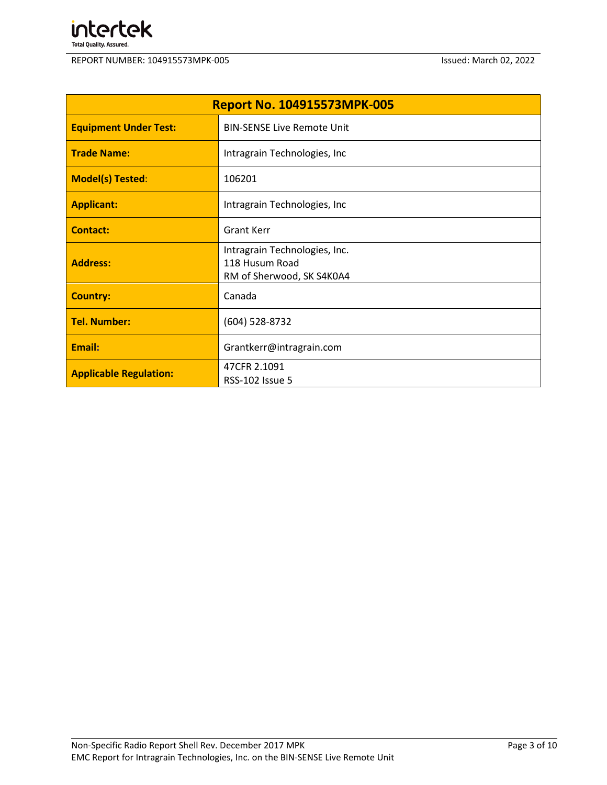

| <b>Report No. 104915573MPK-005</b> |                                                                              |  |  |  |  |
|------------------------------------|------------------------------------------------------------------------------|--|--|--|--|
| <b>Equipment Under Test:</b>       | <b>BIN-SENSE Live Remote Unit</b>                                            |  |  |  |  |
| <b>Trade Name:</b>                 | Intragrain Technologies, Inc                                                 |  |  |  |  |
| <b>Model(s) Tested:</b>            | 106201                                                                       |  |  |  |  |
| <b>Applicant:</b>                  | Intragrain Technologies, Inc                                                 |  |  |  |  |
| <b>Contact:</b>                    | <b>Grant Kerr</b>                                                            |  |  |  |  |
| <b>Address:</b>                    | Intragrain Technologies, Inc.<br>118 Husum Road<br>RM of Sherwood, SK S4K0A4 |  |  |  |  |
| <b>Country:</b>                    | Canada                                                                       |  |  |  |  |
| <b>Tel. Number:</b>                | (604) 528-8732                                                               |  |  |  |  |
| Email:                             | Grantkerr@intragrain.com                                                     |  |  |  |  |
| <b>Applicable Regulation:</b>      | 47CFR 2.1091<br><b>RSS-102 Issue 5</b>                                       |  |  |  |  |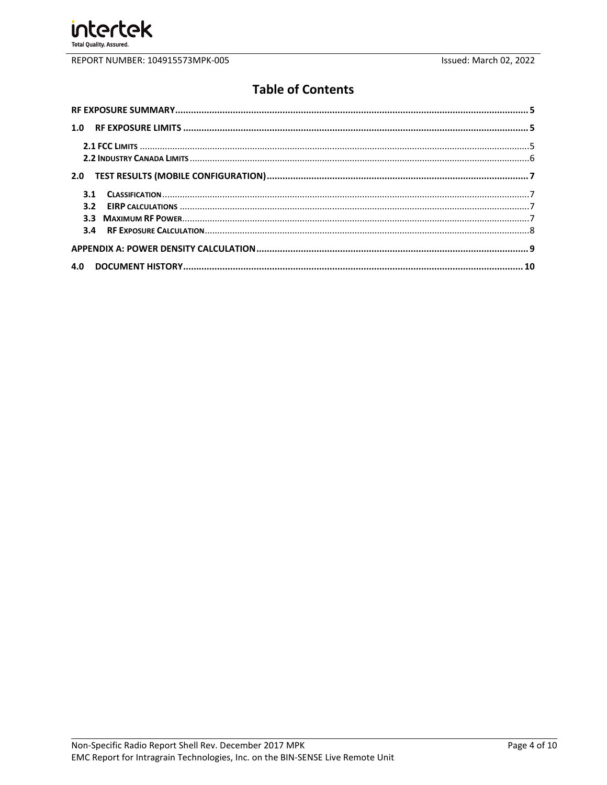

# **Table of Contents**

| 4.0 |  |
|-----|--|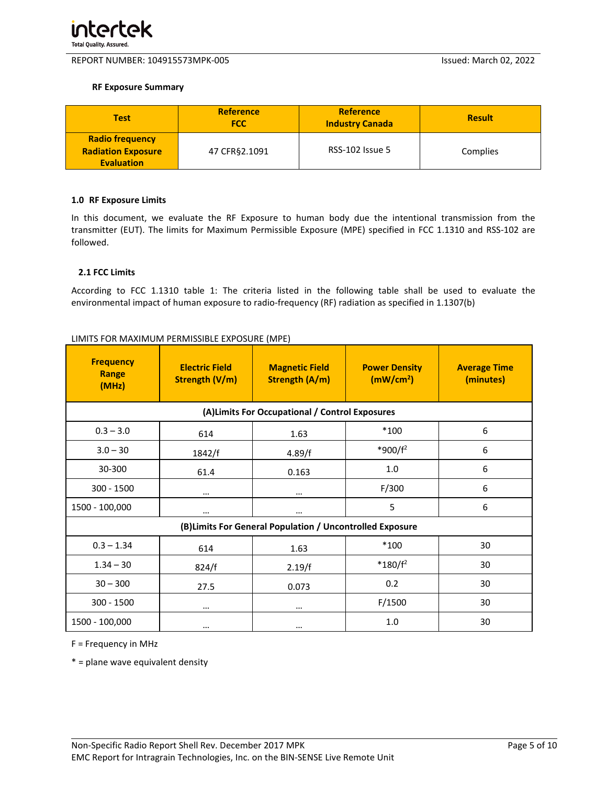

#### <span id="page-4-0"></span>**RF Exposure Summary**

| <b>Test</b>                                                              | <b>Reference</b><br><b>FCC</b> | <b>Reference</b><br><b>Industry Canada</b> | <b>Result</b> |
|--------------------------------------------------------------------------|--------------------------------|--------------------------------------------|---------------|
| <b>Radio frequency</b><br><b>Radiation Exposure</b><br><b>Evaluation</b> | 47 CFR§2.1091                  | <b>RSS-102 Issue 5</b>                     | Complies      |

#### <span id="page-4-1"></span>**1.0 RF Exposure Limits**

In this document, we evaluate the RF Exposure to human body due the intentional transmission from the transmitter (EUT). The limits for Maximum Permissible Exposure (MPE) specified in FCC 1.1310 and RSS-102 are followed.

#### <span id="page-4-2"></span>**2.1 FCC Limits**

According to FCC 1.1310 table 1: The criteria listed in the following table shall be used to evaluate the environmental impact of human exposure to radio-frequency (RF) radiation as specified in 1.1307(b)

| <b>Frequency</b><br>Range<br>(MHz)                        | <b>Electric Field</b><br>Strength (V/m) | <b>Magnetic Field</b><br><b>Strength (A/m)</b>  | <b>Power Density</b><br>(mW/cm <sup>2</sup> ) | <b>Average Time</b><br>(minutes) |  |  |  |
|-----------------------------------------------------------|-----------------------------------------|-------------------------------------------------|-----------------------------------------------|----------------------------------|--|--|--|
|                                                           |                                         | (A) Limits For Occupational / Control Exposures |                                               |                                  |  |  |  |
| $0.3 - 3.0$                                               | 614                                     | 1.63                                            | $*100$                                        | 6                                |  |  |  |
| $3.0 - 30$                                                | 1842/f                                  | 4.89/f                                          | *900/f <sup>2</sup>                           | 6                                |  |  |  |
| 30-300                                                    | 61.4                                    | 0.163                                           | 1.0                                           | 6                                |  |  |  |
| 300 - 1500                                                | $\cdots$                                | $\cdots$                                        | F/300                                         | 6                                |  |  |  |
| 1500 - 100,000                                            | $\cdots$                                | $\cdots$                                        | 5                                             | 6                                |  |  |  |
| (B) Limits For General Population / Uncontrolled Exposure |                                         |                                                 |                                               |                                  |  |  |  |
| $0.3 - 1.34$                                              | 614                                     | 1.63                                            | $*100$                                        | 30                               |  |  |  |
| $1.34 - 30$                                               | 824/f                                   | 2.19/f                                          | $*180/f^2$                                    | 30                               |  |  |  |
| $30 - 300$                                                | 27.5                                    | 0.073                                           | 0.2                                           | 30                               |  |  |  |
| 300 - 1500                                                | $\cdots$                                | $\cdots$                                        | F/1500                                        | 30                               |  |  |  |
| 1500 - 100,000                                            | $\cdots$                                | $\cdots$                                        | 1.0                                           | 30                               |  |  |  |

#### LIMITS FOR MAXIMUM PERMISSIBLE EXPOSURE (MPE)

F = Frequency in MHz

 $*$  = plane wave equivalent density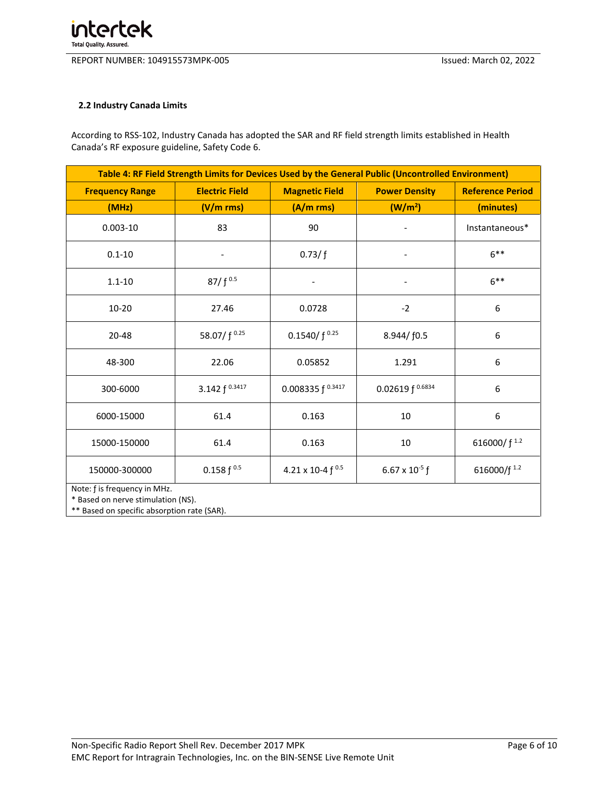#### <span id="page-5-0"></span>**2.2 Industry Canada Limits**

According to RSS-102, Industry Canada has adopted the SAR and RF field strength limits established in Health Canada's RF exposure guideline, Safety Code 6.

| Table 4: RF Field Strength Limits for Devices Used by the General Public (Uncontrolled Environment) |                                                                                                   |                          |                      |                         |  |  |
|-----------------------------------------------------------------------------------------------------|---------------------------------------------------------------------------------------------------|--------------------------|----------------------|-------------------------|--|--|
| <b>Frequency Range</b>                                                                              | <b>Electric Field</b><br><b>Magnetic Field</b><br><b>Power Density</b><br><b>Reference Period</b> |                          |                      |                         |  |  |
| (MHz)                                                                                               | (V/m rms)                                                                                         | (A/m rms)                | (W/m <sup>2</sup> )  | (minutes)               |  |  |
| $0.003 - 10$                                                                                        | 83                                                                                                | 90                       |                      | Instantaneous*          |  |  |
| $0.1 - 10$                                                                                          | $\overline{\phantom{a}}$                                                                          | 0.73/f                   |                      | $6***$                  |  |  |
| $1.1 - 10$                                                                                          | $87/f^{0.5}$                                                                                      | $\overline{\phantom{0}}$ | -                    | $6***$                  |  |  |
| $10 - 20$                                                                                           | 27.46                                                                                             | 0.0728                   | $-2$                 | 6                       |  |  |
| $20 - 48$                                                                                           | 58.07/ f 0.25                                                                                     | 0.1540/ $f^{0.25}$       | 8.944/f0.5           | 6                       |  |  |
| 48-300                                                                                              | 22.06                                                                                             | 0.05852                  | 1.291                | 6                       |  |  |
| 300-6000                                                                                            | 3.142 f 0.3417                                                                                    | 0.008335 $f^{0.3417}$    | 0.02619 $f^{0.6834}$ | 6                       |  |  |
| 6000-15000                                                                                          | 61.4                                                                                              | 0.163                    | 10                   | 6                       |  |  |
| 15000-150000                                                                                        | 61.4                                                                                              | 0.163                    | 10                   | 616000/f <sup>1.2</sup> |  |  |
| 150000-300000                                                                                       | $0.158 f^{0.5}$                                                                                   | 4.21 x 10-4 f 0.5        | 6.67 x $10^{-5}$ f   | 616000/f <sup>1.2</sup> |  |  |
| Note: f is frequency in MHz.<br>* Based on nerve stimulation (NS).                                  |                                                                                                   |                          |                      |                         |  |  |

\*\* Based on specific absorption rate (SAR).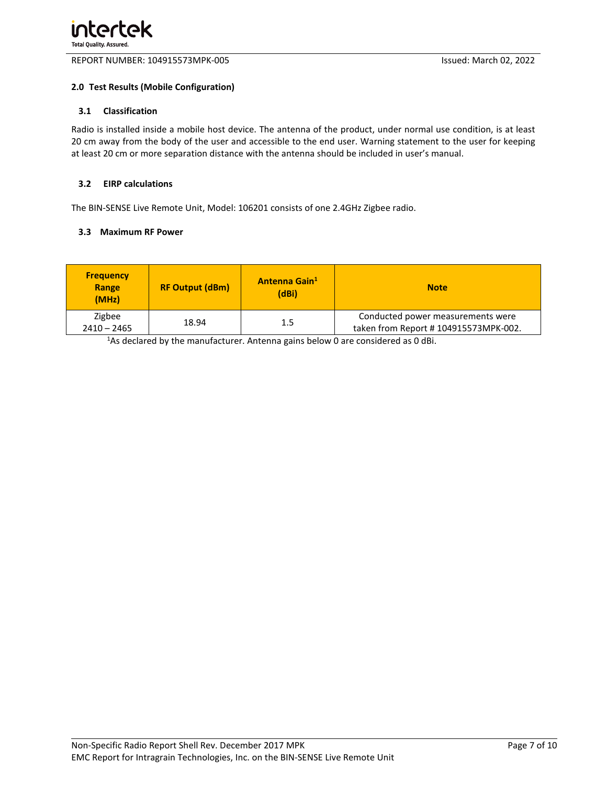#### <span id="page-6-0"></span>**2.0 Test Results (Mobile Configuration)**

#### <span id="page-6-1"></span>**3.1 Classification**

Radio is installed inside a mobile host device. The antenna of the product, under normal use condition, is at least 20 cm away from the body of the user and accessible to the end user. Warning statement to the user for keeping at least 20 cm or more separation distance with the antenna should be included in user's manual.

#### <span id="page-6-2"></span>**3.2 EIRP calculations**

The BIN-SENSE Live Remote Unit, Model: 106201 consists of one 2.4GHz Zigbee radio.

#### <span id="page-6-3"></span>**3.3 Maximum RF Power**

| <b>Frequency</b><br>Range<br>(MHz) | <b>RF Output (dBm)</b> | Antenna Gain <sup>1</sup><br>(dBi) | <b>Note</b>                                                               |
|------------------------------------|------------------------|------------------------------------|---------------------------------------------------------------------------|
| Zigbee<br>$2410 - 2465$            | 18.94                  | 1.5                                | Conducted power measurements were<br>taken from Report #104915573MPK-002. |

<sup>1</sup>As declared by the manufacturer. Antenna gains below 0 are considered as 0 dBi.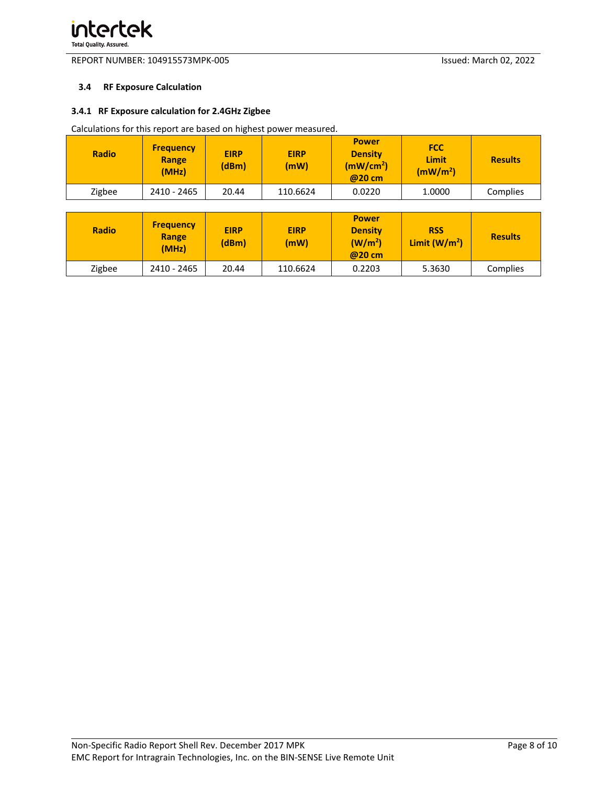#### <span id="page-7-0"></span>**3.4 RF Exposure Calculation**

#### **3.4.1 RF Exposure calculation for 2.4GHz Zigbee**

Calculations for this report are based on highest power measured.

| <b>Radio</b> | <b>Frequency</b><br>Range<br>(MHz) | <b>EIRP</b><br>(dBm) | <b>EIRP</b><br>(mW) | <b>Power</b><br><b>Density</b><br>(mW/cm <sup>2</sup> )<br>@20 cm | <b>FCC</b><br>Limit<br>(mW/m <sup>2</sup> ) | <b>Results</b> |
|--------------|------------------------------------|----------------------|---------------------|-------------------------------------------------------------------|---------------------------------------------|----------------|
| Zigbee       | 2410 - 2465                        | 20.44                | 110.6624            | 0.0220                                                            | 1.0000                                      | Complies       |

| <b>Radio</b> | <b>Frequency</b><br>Range<br>(MHz) | <b>EIRP</b><br>(dBm) | <b>EIRP</b><br>(mW) | <b>Power</b><br><b>Density</b><br>(W/m <sup>2</sup> )<br>@20 cm | <b>RSS</b><br>Limit $(W/m2)$ | <b>Results</b> |
|--------------|------------------------------------|----------------------|---------------------|-----------------------------------------------------------------|------------------------------|----------------|
| Zigbee       | 2410 - 2465                        | 20.44                | 110.6624            | 0.2203                                                          | 5.3630                       | Complies       |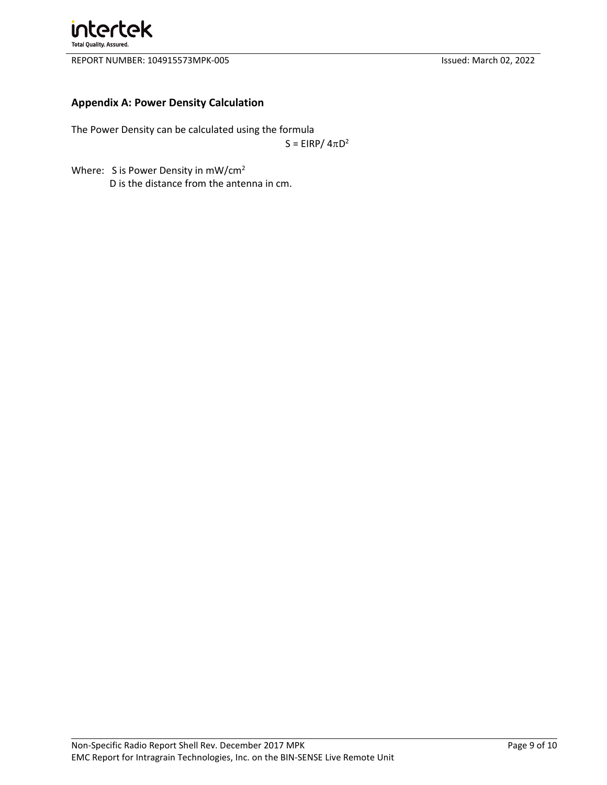

## <span id="page-8-0"></span>**Appendix A: Power Density Calculation**

The Power Density can be calculated using the formula

 $S = EIRP/4\pi D^2$ 

Where: S is Power Density in mW/cm<sup>2</sup> D is the distance from the antenna in cm.